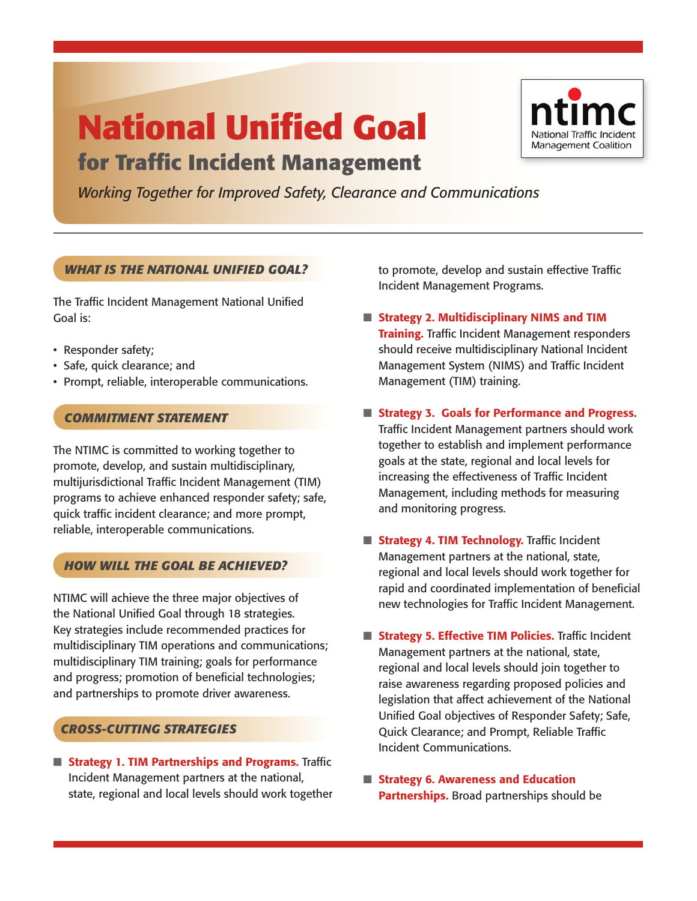# **National Unified Goal for Traffic Incident Management**



*Working Together for Improved Safety, Clearance and Communications*

# *WHAT IS THE NATIONAL UNIFIED GOAL?*

The Traffic Incident Management National Unified Goal is:

- Responder safety;
- Safe, quick clearance; and
- Prompt, reliable, interoperable communications.

### *COMMITMENT STATEMENT*

The NTIMC is committed to working together to promote, develop, and sustain multidisciplinary, multijurisdictional Traffic Incident Management (TIM) programs to achieve enhanced responder safety; safe, quick traffic incident clearance; and more prompt, reliable, interoperable communications.

# *HOW WILL THE GOAL BE ACHIEVED?*

NTIMC will achieve the three major objectives of the National Unified Goal through 18 strategies. Key strategies include recommended practices for multidisciplinary TIM operations and communications; multidisciplinary TIM training; goals for performance and progress; promotion of beneficial technologies; and partnerships to promote driver awareness.

# *CROSS-CUTTING STRATEGIES*

■ **Strategy 1. TIM Partnerships and Programs.** Traffic Incident Management partners at the national, state, regional and local levels should work together to promote, develop and sustain effective Traffic Incident Management Programs.

- **Strategy 2. Multidisciplinary NIMS and TIM Training.** Traffic Incident Management responders should receive multidisciplinary National Incident Management System (NIMS) and Traffic Incident Management (TIM) training.
- Strategy 3. Goals for Performance and Progress. Traffic Incident Management partners should work together to establish and implement performance goals at the state, regional and local levels for increasing the effectiveness of Traffic Incident Management, including methods for measuring and monitoring progress.
- **E** Strategy 4. TIM Technology. Traffic Incident Management partners at the national, state, regional and local levels should work together for rapid and coordinated implementation of beneficial new technologies for Traffic Incident Management.
- **Strategy 5. Effective TIM Policies.** Traffic Incident Management partners at the national, state, regional and local levels should join together to raise awareness regarding proposed policies and legislation that affect achievement of the National Unified Goal objectives of Responder Safety; Safe, Quick Clearance; and Prompt, Reliable Traffic Incident Communications.
- Strategy 6. Awareness and Education **Partnerships.** Broad partnerships should be